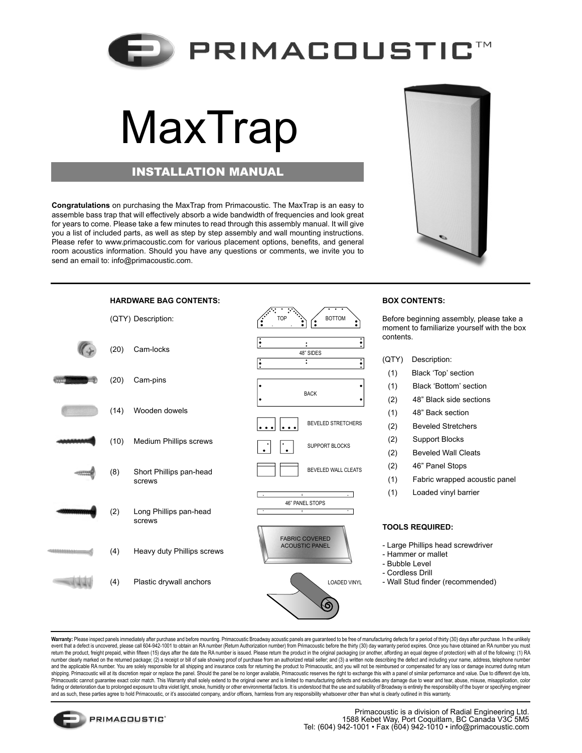

## MaxTrap

## INSTALLATION MANUAL

**Congratulations** on purchasing the MaxTrap from Primacoustic. The MaxTrap is an easy to assemble bass trap that will effectively absorb a wide bandwidth of frequencies and look great for years to come. Please take a few minutes to read through this assembly manual. It will give you a list of included parts, as well as step by step assembly and wall mounting instructions. Please refer to www.primacoustic.com for various placement options, benefits, and general room acoustics information. Should you have any questions or comments, we invite you to send an email to: info@primacoustic.com.



Warranty: Please inspect panels immediately after purchase and before mounting. Primacoustic Broadway acoustic panels are guaranteed to be free of manufacturing defects for a period of thirty (30) days after purchase. In t event that a defect is uncovered, please call 604-942-1001 to obtain an RA number (Return Authorization number) from Primacoustic before the thirty (30) day warranty period expires. Once you have obtained an RA number you return the product, freight prepaid, within fifteen (15) days after the date the RA number is issued. Please return the product in the original packaging (or another, affording an equal degree of protection) with all of th number clearly marked on the returned package; (2) a receipt or bill of sale showing proof of purchase from an authorized retail seller; and (3) a written note describing the defect and including your name, address, teleph and the applicable RA number. You are solely responsible for all shipping and insurance costs for returning the product to Primacoustic, and you will not be reimbursed or compensated for any loss or damage incurred during Primacoustic cannot guarantee exact color match. This Warranty shall solely extend to the original owner and is limited to manufacturing defects and excludes any damage due to wear and tear, abuse, misuse, misuse, misus mi fading or deterioration due to prolonged exposure to ultra violet light, smoke, humidity or other environmental factors. It is understood that the use and suitability of Broadway is entirely the responsibility of the buyer and as such, these parties agree to hold Primacoustic, or it's associated company, and/or officers, harmless from any responsibility whatsoever other than what is clearly outlined in this warranty.



Before beginning assembly, please take a moment to familiarize yourself with the box

(1) Fabric wrapped acoustic panel

**PRIMACOUSTIC**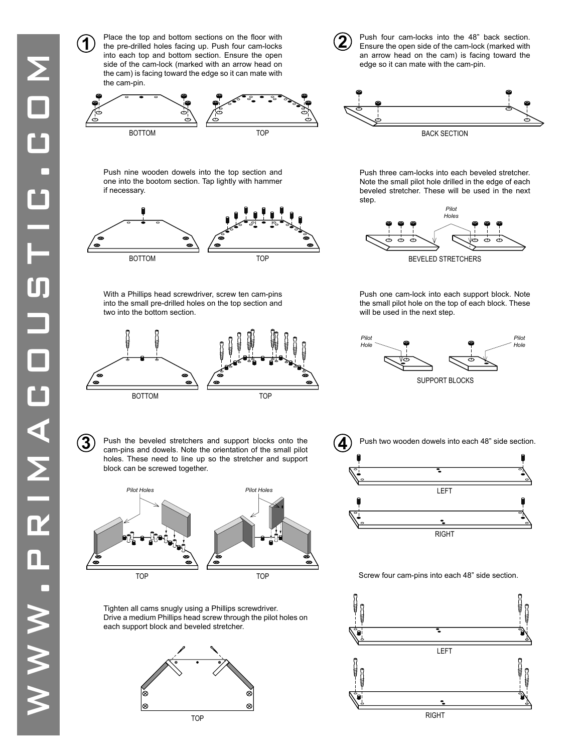Place the top and bottom sections on the floor with the pre-drilled holes facing up. Push four cam-locks into each top and bottom section. Ensure the open side of the cam-lock (marked with an arrow head on the cam) is facing toward the edge so it can mate with the cam-pin.

**1**





edge so it can mate with the cam-pin.

Push four cam-locks into the 48" back section. Ensure the open side of the cam-lock (marked with an arrow head on the cam) is facing toward the

**2**

BACK SECTION

Push nine wooden dowels into the top section and one into the bootom section. Tap lightly with hammer if necessary.



With a Phillips head screwdriver, screw ten cam-pins into the small pre-drilled holes on the top section and two into the bottom section.



**3** Push the beveled stretchers and support blocks onto the cam-pins and dowels. Note the orientation of the small pilot cam-pins and dowels. Note the orientation of the small pilot holes. These need to line up so the stretcher and support block can be screwed together.



Tighten all cams snugly using a Phillips screwdriver. Drive a medium Phillips head screw through the pilot holes on each support block and beveled stretcher.



Push three cam-locks into each beveled stretcher. Note the small pilot hole drilled in the edge of each beveled stretcher. These will be used in the next step.



Push one cam-lock into each support block. Note the small pilot hole on the top of each block. These will be used in the next step.





## Screw four cam-pins into each 48" side section.

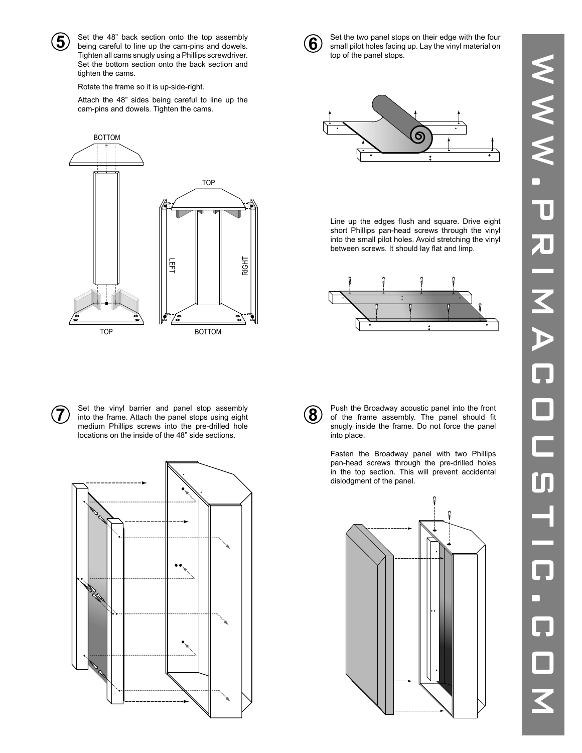

Set the 48" back section onto the top assembly Tighten all cams snugly using a Phillips screwdriver. Set the bottom section onto the back section and tighten the cams.

Rotate the frame so it is up-side-right.

Attach the 48" sides being careful to line up the cam-pins and dowels. Tighten the cams.





**5** Set the 48" back section onto the top assembly<br>being careful to line up the cam-pins and dowels. **6** Set the two panel stops on their edge with the four<br>only small pilot holes facing up. Lay the vinyl material on small pilot holes facing up. Lay the vinyl material on top of the panel stops.



Line up the edges flush and square. Drive eight short Phillips pan-head screws through the vinyl into the small pilot holes. Avoid stretching the vinyl between screws. It should lay flat and limp.



**7** Set the vinyl barrier and panel stop assembly into the frame. Attach the panel stops using eight medium Phillips screws into the pre-drilled hole locations on the inside of the 48" side sections.



**8** Push the Broadway acoustic panel into the front of the frame assembly. The panel should fit snugly inside the frame. Do not force the panel into place.

> Fasten the Broadway panel with two Phillips pan-head screws through the pre-drilled holes in the top section. This will prevent accidental dislodgment of the panel.